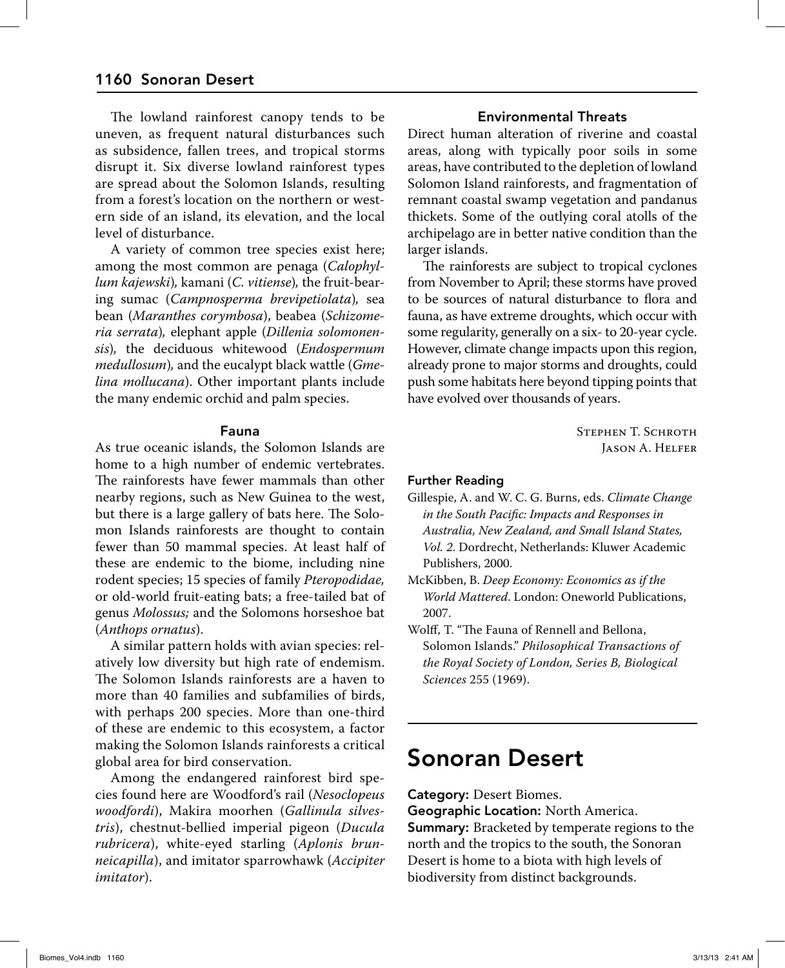The lowland rainforest canopy tends to be uneven, as frequent natural disturbances such as subsidence, fallen trees, and tropical storms disrupt it. Six diverse lowland rainforest types are spread about the Solomon Islands, resulting from a forest's location on the northern or western side of an island, its elevation, and the local level of disturbance.

A variety of common tree species exist here; among the most common are penaga (*Calophyllum kajewski*)*,* kamani (*C. vitiense*)*,* the fruit-bearing sumac (*Campnosperma brevipetiolata*)*,* sea bean (*Maranthes corymbosa*), beabea (*Schizomeria serrata*)*,* elephant apple (*Dillenia solomonensis*)*,* the deciduous whitewood (*Endospermum medullosum*)*,* and the eucalypt black wattle (*Gmelina mollucana*). Other important plants include the many endemic orchid and palm species.

#### Fauna

As true oceanic islands, the Solomon Islands are home to a high number of endemic vertebrates. The rainforests have fewer mammals than other nearby regions, such as New Guinea to the west, but there is a large gallery of bats here. The Solomon Islands rainforests are thought to contain fewer than 50 mammal species. At least half of these are endemic to the biome, including nine rodent species; 15 species of family *Pteropodidae,* or old-world fruit-eating bats; a free-tailed bat of genus *Molossus;* and the Solomons horseshoe bat (*Anthops ornatus*).

A similar pattern holds with avian species: relatively low diversity but high rate of endemism. The Solomon Islands rainforests are a haven to more than 40 families and subfamilies of birds, with perhaps 200 species. More than one-third of these are endemic to this ecosystem, a factor making the Solomon Islands rainforests a critical global area for bird conservation.

Among the endangered rainforest bird species found here are Woodford's rail (*Nesoclopeus woodfordi*), Makira moorhen (*Gallinula silvestris*), chestnut-bellied imperial pigeon (*Ducula rubricera*), white-eyed starling (*Aplonis brunneicapilla*), and imitator sparrowhawk (*Accipiter imitator*).

## Environmental Threats

Direct human alteration of riverine and coastal areas, along with typically poor soils in some areas, have contributed to the depletion of lowland Solomon Island rainforests, and fragmentation of remnant coastal swamp vegetation and pandanus thickets. Some of the outlying coral atolls of the archipelago are in better native condition than the larger islands.

The rainforests are subject to tropical cyclones from November to April; these storms have proved to be sources of natural disturbance to flora and fauna, as have extreme droughts, which occur with some regularity, generally on a six- to 20-year cycle. However, climate change impacts upon this region, already prone to major storms and droughts, could push some habitats here beyond tipping points that have evolved over thousands of years.

> Stephen T. Schroth Jason A. Helfer

#### Further Reading

Gillespie, A. and W. C. G. Burns, eds. *Climate Change in the South Pacific: Impacts and Responses in Australia, New Zealand, and Small Island States, Vol. 2*. Dordrecht, Netherlands: Kluwer Academic Publishers, 2000.

McKibben, B. *Deep Economy: Economics as if the World Mattered*. London: Oneworld Publications, 2007.

Wolff, T. "The Fauna of Rennell and Bellona, Solomon Islands." *Philosophical Transactions of the Royal Society of London, Series B, Biological Sciences* 255 (1969).

# Sonoran Desert

Category: Desert Biomes.

Geographic Location: North America. **Summary:** Bracketed by temperate regions to the north and the tropics to the south, the Sonoran Desert is home to a biota with high levels of biodiversity from distinct backgrounds.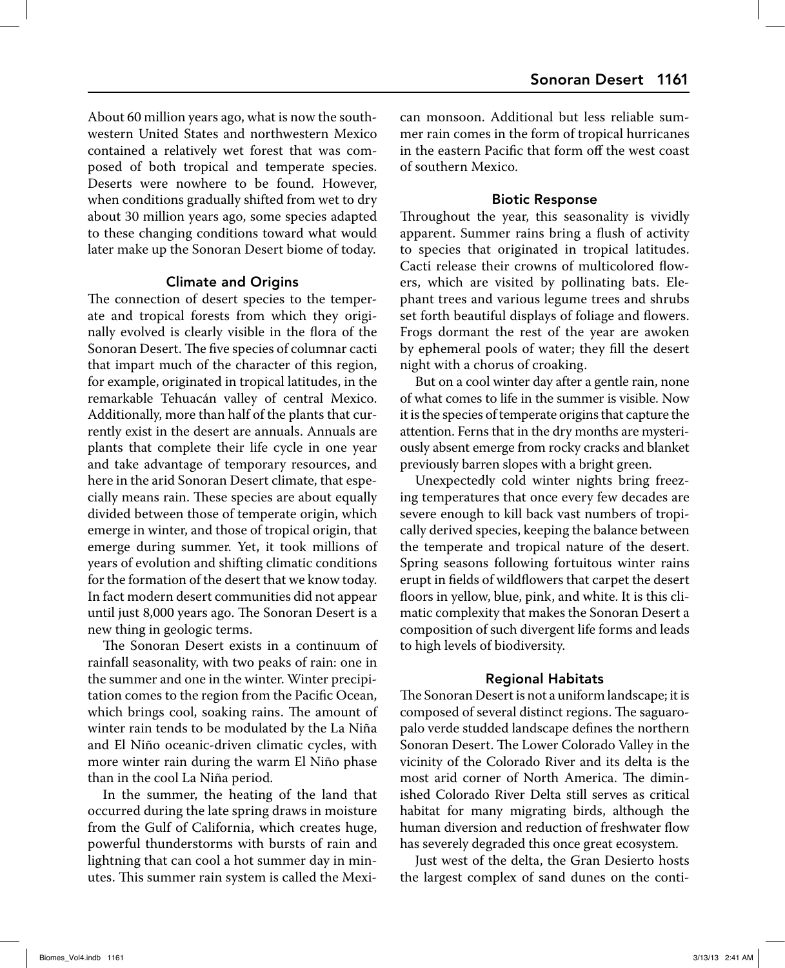About 60 million years ago, what is now the southwestern United States and northwestern Mexico contained a relatively wet forest that was composed of both tropical and temperate species. Deserts were nowhere to be found. However, when conditions gradually shifted from wet to dry about 30 million years ago, some species adapted to these changing conditions toward what would later make up the Sonoran Desert biome of today.

## Climate and Origins

The connection of desert species to the temperate and tropical forests from which they originally evolved is clearly visible in the flora of the Sonoran Desert. The five species of columnar cacti that impart much of the character of this region, for example, originated in tropical latitudes, in the remarkable Tehuacán valley of central Mexico. Additionally, more than half of the plants that currently exist in the desert are annuals. Annuals are plants that complete their life cycle in one year and take advantage of temporary resources, and here in the arid Sonoran Desert climate, that especially means rain. These species are about equally divided between those of temperate origin, which emerge in winter, and those of tropical origin, that emerge during summer. Yet, it took millions of years of evolution and shifting climatic conditions for the formation of the desert that we know today. In fact modern desert communities did not appear until just 8,000 years ago. The Sonoran Desert is a new thing in geologic terms.

The Sonoran Desert exists in a continuum of rainfall seasonality, with two peaks of rain: one in the summer and one in the winter. Winter precipitation comes to the region from the Pacific Ocean, which brings cool, soaking rains. The amount of winter rain tends to be modulated by the La Niña and El Niño oceanic-driven climatic cycles, with more winter rain during the warm El Niño phase than in the cool La Niña period.

In the summer, the heating of the land that occurred during the late spring draws in moisture from the Gulf of California, which creates huge, powerful thunderstorms with bursts of rain and lightning that can cool a hot summer day in minutes. This summer rain system is called the Mexican monsoon. Additional but less reliable summer rain comes in the form of tropical hurricanes in the eastern Pacific that form off the west coast of southern Mexico.

### Biotic Response

Throughout the year, this seasonality is vividly apparent. Summer rains bring a flush of activity to species that originated in tropical latitudes. Cacti release their crowns of multicolored flowers, which are visited by pollinating bats. Elephant trees and various legume trees and shrubs set forth beautiful displays of foliage and flowers. Frogs dormant the rest of the year are awoken by ephemeral pools of water; they fill the desert night with a chorus of croaking.

But on a cool winter day after a gentle rain, none of what comes to life in the summer is visible. Now it is the species of temperate origins that capture the attention. Ferns that in the dry months are mysteriously absent emerge from rocky cracks and blanket previously barren slopes with a bright green.

Unexpectedly cold winter nights bring freezing temperatures that once every few decades are severe enough to kill back vast numbers of tropically derived species, keeping the balance between the temperate and tropical nature of the desert. Spring seasons following fortuitous winter rains erupt in fields of wildflowers that carpet the desert floors in yellow, blue, pink, and white. It is this climatic complexity that makes the Sonoran Desert a composition of such divergent life forms and leads to high levels of biodiversity.

#### Regional Habitats

The Sonoran Desert is not a uniform landscape; it is composed of several distinct regions. The saguaropalo verde studded landscape defines the northern Sonoran Desert. The Lower Colorado Valley in the vicinity of the Colorado River and its delta is the most arid corner of North America. The diminished Colorado River Delta still serves as critical habitat for many migrating birds, although the human diversion and reduction of freshwater flow has severely degraded this once great ecosystem.

Just west of the delta, the Gran Desierto hosts the largest complex of sand dunes on the conti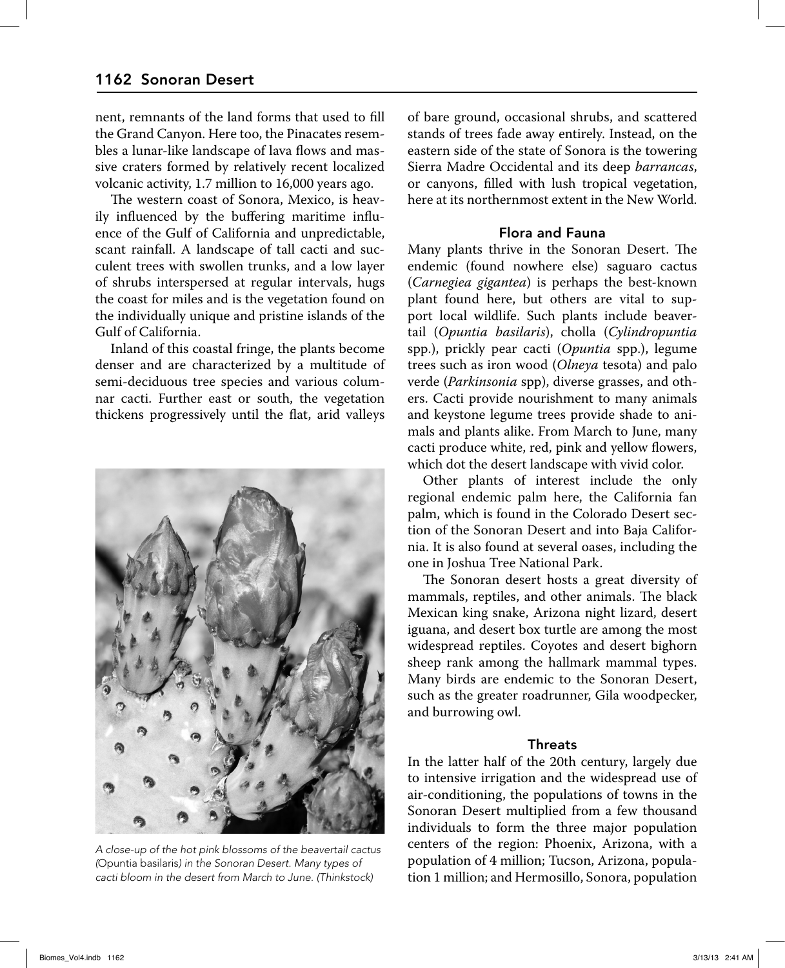nent, remnants of the land forms that used to fill the Grand Canyon. Here too, the Pinacates resembles a lunar-like landscape of lava flows and massive craters formed by relatively recent localized volcanic activity, 1.7 million to 16,000 years ago.

The western coast of Sonora, Mexico, is heavily influenced by the buffering maritime influence of the Gulf of California and unpredictable, scant rainfall. A landscape of tall cacti and succulent trees with swollen trunks, and a low layer of shrubs interspersed at regular intervals, hugs the coast for miles and is the vegetation found on the individually unique and pristine islands of the Gulf of California.

Inland of this coastal fringe, the plants become denser and are characterized by a multitude of semi-deciduous tree species and various columnar cacti. Further east or south, the vegetation thickens progressively until the flat, arid valleys



*A close-up of the hot pink blossoms of the beavertail cactus (*Opuntia basilaris*) in the Sonoran Desert. Many types of cacti bloom in the desert from March to June. (Thinkstock)*

of bare ground, occasional shrubs, and scattered stands of trees fade away entirely. Instead, on the eastern side of the state of Sonora is the towering Sierra Madre Occidental and its deep *barrancas*, or canyons, filled with lush tropical vegetation, here at its northernmost extent in the New World.

## Flora and Fauna

Many plants thrive in the Sonoran Desert. The endemic (found nowhere else) saguaro cactus (*Carnegiea gigantea*) is perhaps the best-known plant found here, but others are vital to support local wildlife. Such plants include beavertail (*Opuntia basilaris*), cholla (*Cylindropuntia* spp.), prickly pear cacti (*Opuntia* spp.), legume trees such as iron wood (*Olneya* tesota) and palo verde (*Parkinsonia* spp), diverse grasses, and others. Cacti provide nourishment to many animals and keystone legume trees provide shade to animals and plants alike. From March to June, many cacti produce white, red, pink and yellow flowers, which dot the desert landscape with vivid color.

Other plants of interest include the only regional endemic palm here, the California fan palm, which is found in the Colorado Desert section of the Sonoran Desert and into Baja California. It is also found at several oases, including the one in Joshua Tree National Park.

The Sonoran desert hosts a great diversity of mammals, reptiles, and other animals. The black Mexican king snake, Arizona night lizard, desert iguana, and desert box turtle are among the most widespread reptiles. Coyotes and desert bighorn sheep rank among the hallmark mammal types. Many birds are endemic to the Sonoran Desert, such as the greater roadrunner, Gila woodpecker, and burrowing owl.

#### Threats

In the latter half of the 20th century, largely due to intensive irrigation and the widespread use of air-conditioning, the populations of towns in the Sonoran Desert multiplied from a few thousand individuals to form the three major population centers of the region: Phoenix, Arizona, with a population of 4 million; Tucson, Arizona, population 1 million; and Hermosillo, Sonora, population